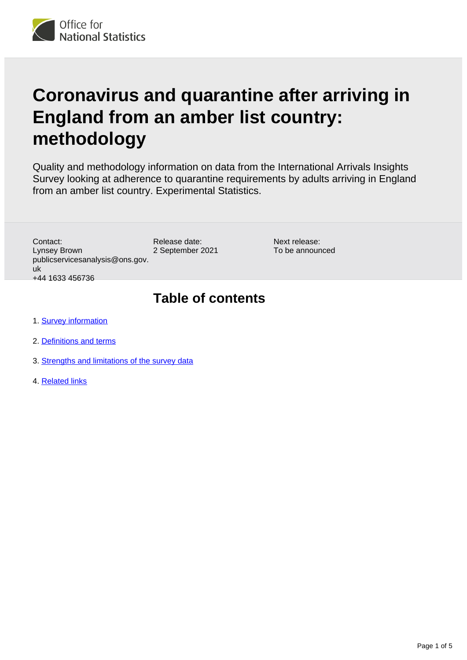

# **Coronavirus and quarantine after arriving in England from an amber list country: methodology**

Quality and methodology information on data from the International Arrivals Insights Survey looking at adherence to quarantine requirements by adults arriving in England from an amber list country. Experimental Statistics.

Contact: Lynsey Brown publicservicesanalysis@ons.gov. uk +44 1633 456736

Release date: 2 September 2021 Next release: To be announced

## **Table of contents**

- 1. **[Survey information](#page-1-0)**
- 2. [Definitions and terms](#page-2-0)
- 3. [Strengths and limitations of the survey data](#page-3-0)
- 4. [Related links](#page-4-0)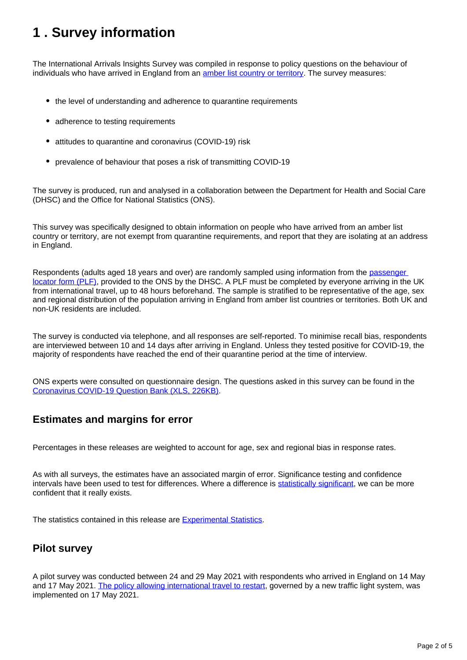## <span id="page-1-0"></span>**1 . Survey information**

The International Arrivals Insights Survey was compiled in response to policy questions on the behaviour of individuals who have arrived in England from an *[amber list country or territory](https://www.gov.uk/guidance/red-amber-and-green-list-rules-for-entering-england#amber-list)*. The survey measures:

- the level of understanding and adherence to quarantine requirements
- adherence to testing requirements
- attitudes to quarantine and coronavirus (COVID-19) risk
- prevalence of behaviour that poses a risk of transmitting COVID-19

The survey is produced, run and analysed in a collaboration between the Department for Health and Social Care (DHSC) and the Office for National Statistics (ONS).

This survey was specifically designed to obtain information on people who have arrived from an amber list country or territory, are not exempt from quarantine requirements, and report that they are isolating at an address in England.

Respondents (adults aged 18 years and over) are randomly sampled using information from the [passenger](https://www.gov.uk/provide-journey-contact-details-before-travel-uk)  [locator form \(PLF\)](https://www.gov.uk/provide-journey-contact-details-before-travel-uk), provided to the ONS by the DHSC. A PLF must be completed by everyone arriving in the UK from international travel, up to 48 hours beforehand. The sample is stratified to be representative of the age, sex and regional distribution of the population arriving in England from amber list countries or territories. Both UK and non-UK residents are included.

The survey is conducted via telephone, and all responses are self-reported. To minimise recall bias, respondents are interviewed between 10 and 14 days after arriving in England. Unless they tested positive for COVID-19, the majority of respondents have reached the end of their quarantine period at the time of interview.

ONS experts were consulted on questionnaire design. The questions asked in this survey can be found in the [Coronavirus COVID-19 Question Bank \(XLS, 226KB\).](https://gss.civilservice.gov.uk/wp-content/uploads/2021/06/Coronavirus_COVID19_Question_Bank.xlsx)

### **Estimates and margins for error**

Percentages in these releases are weighted to account for age, sex and regional bias in response rates.

As with all surveys, the estimates have an associated margin of error. Significance testing and confidence intervals have been used to test for differences. Where a difference is [statistically significant,](https://www.ons.gov.uk/methodology/methodologytopicsandstatisticalconcepts/uncertaintyandhowwemeasureit#statistical-significance) we can be more confident that it really exists.

The statistics contained in this release are [Experimental Statistics](https://www.ons.gov.uk/methodology/methodologytopicsandstatisticalconcepts/guidetoexperimentalstatistics).

#### **Pilot survey**

A pilot survey was conducted between 24 and 29 May 2021 with respondents who arrived in England on 14 May and 17 May 2021. [The policy allowing international travel to restart](https://www.gov.uk/government/speeches/traffic-light-system-safe-return-to-international-travel), governed by a new traffic light system, was implemented on 17 May 2021.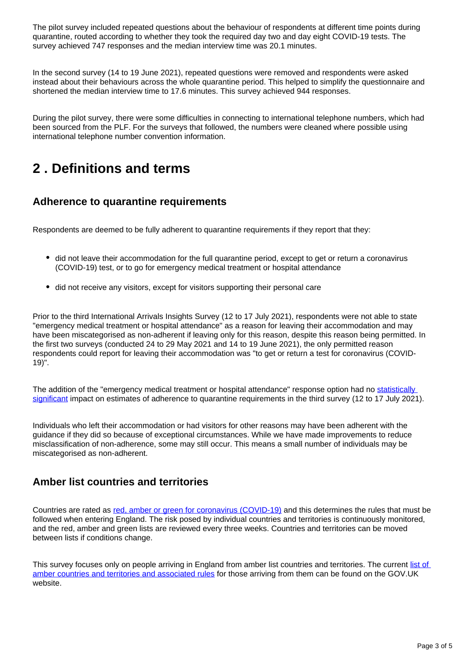The pilot survey included repeated questions about the behaviour of respondents at different time points during quarantine, routed according to whether they took the required day two and day eight COVID-19 tests. The survey achieved 747 responses and the median interview time was 20.1 minutes.

In the second survey (14 to 19 June 2021), repeated questions were removed and respondents were asked instead about their behaviours across the whole quarantine period. This helped to simplify the questionnaire and shortened the median interview time to 17.6 minutes. This survey achieved 944 responses.

During the pilot survey, there were some difficulties in connecting to international telephone numbers, which had been sourced from the PLF. For the surveys that followed, the numbers were cleaned where possible using international telephone number convention information.

## <span id="page-2-0"></span>**2 . Definitions and terms**

### **Adherence to quarantine requirements**

Respondents are deemed to be fully adherent to quarantine requirements if they report that they:

- did not leave their accommodation for the full quarantine period, except to get or return a coronavirus (COVID-19) test, or to go for emergency medical treatment or hospital attendance
- did not receive any visitors, except for visitors supporting their personal care

Prior to the third International Arrivals Insights Survey (12 to 17 July 2021), respondents were not able to state "emergency medical treatment or hospital attendance" as a reason for leaving their accommodation and may have been miscategorised as non-adherent if leaving only for this reason, despite this reason being permitted. In the first two surveys (conducted 24 to 29 May 2021 and 14 to 19 June 2021), the only permitted reason respondents could report for leaving their accommodation was "to get or return a test for coronavirus (COVID-19)".

The addition of the "emergency medical treatment or hospital attendance" response option had no statistically [significant](https://www.ons.gov.uk/methodology/methodologytopicsandstatisticalconcepts/uncertaintyandhowwemeasureit#statistical-significance) impact on estimates of adherence to quarantine requirements in the third survey (12 to 17 July 2021).

Individuals who left their accommodation or had visitors for other reasons may have been adherent with the guidance if they did so because of exceptional circumstances. While we have made improvements to reduce misclassification of non-adherence, some may still occur. This means a small number of individuals may be miscategorised as non-adherent.

### **Amber list countries and territories**

Countries are rated as [red, amber or green for coronavirus \(COVID-19\)](https://www.gov.uk/guidance/red-amber-and-green-list-rules-for-entering-england) and this determines the rules that must be followed when entering England. The risk posed by individual countries and territories is continuously monitored, and the red, amber and green lists are reviewed every three weeks. Countries and territories can be moved between lists if conditions change.

This survey focuses only on people arriving in England from amber list countries and territories. The current list of [amber countries and territories and associated rules](https://www.gov.uk/guidance/red-amber-and-green-list-rules-for-entering-england#amber-list) for those arriving from them can be found on the GOV.UK website.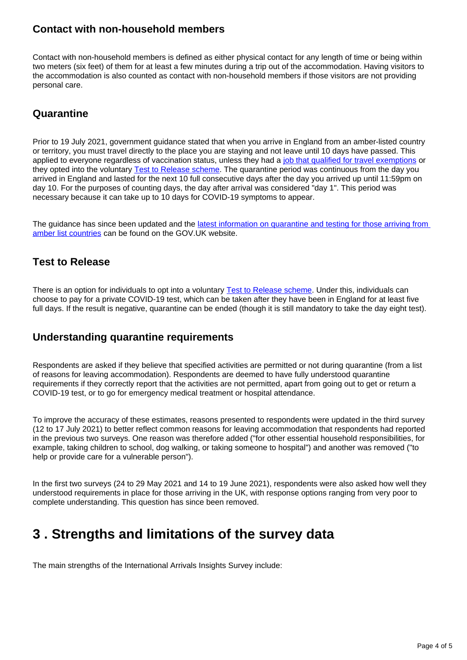### **Contact with non-household members**

Contact with non-household members is defined as either physical contact for any length of time or being within two meters (six feet) of them for at least a few minutes during a trip out of the accommodation. Having visitors to the accommodation is also counted as contact with non-household members if those visitors are not providing personal care.

#### **Quarantine**

Prior to 19 July 2021, government guidance stated that when you arrive in England from an amber-listed country or territory, you must travel directly to the place you are staying and not leave until 10 days have passed. This applied to everyone regardless of vaccination status, unless they had a [job that qualified for travel exemptions](https://www.gov.uk/government/publications/coronavirus-covid-19-travellers-exempt-from-uk-border-rules/coronavirus-covid-19-travellers-exempt-from-uk-border-rules) or they opted into the voluntary [Test to Release scheme](https://www.gov.uk/guidance/coronavirus-covid-19-test-to-release-for-international-travel). The quarantine period was continuous from the day you arrived in England and lasted for the next 10 full consecutive days after the day you arrived up until 11:59pm on day 10. For the purposes of counting days, the day after arrival was considered "day 1". This period was necessary because it can take up to 10 days for COVID-19 symptoms to appear.

The guidance has since been updated and the [latest information on quarantine and testing for those arriving from](https://www.gov.uk/guidance/how-to-quarantine-when-you-arrive-in-england)  [amber list countries](https://www.gov.uk/guidance/how-to-quarantine-when-you-arrive-in-england) can be found on the GOV.UK website.

### **Test to Release**

There is an option for individuals to opt into a voluntary [Test to Release scheme.](https://www.gov.uk/guidance/coronavirus-covid-19-test-to-release-for-international-travel) Under this, individuals can choose to pay for a private COVID-19 test, which can be taken after they have been in England for at least five full days. If the result is negative, quarantine can be ended (though it is still mandatory to take the day eight test).

### **Understanding quarantine requirements**

Respondents are asked if they believe that specified activities are permitted or not during quarantine (from a list of reasons for leaving accommodation). Respondents are deemed to have fully understood quarantine requirements if they correctly report that the activities are not permitted, apart from going out to get or return a COVID-19 test, or to go for emergency medical treatment or hospital attendance.

To improve the accuracy of these estimates, reasons presented to respondents were updated in the third survey (12 to 17 July 2021) to better reflect common reasons for leaving accommodation that respondents had reported in the previous two surveys. One reason was therefore added ("for other essential household responsibilities, for example, taking children to school, dog walking, or taking someone to hospital") and another was removed ("to help or provide care for a vulnerable person").

In the first two surveys (24 to 29 May 2021 and 14 to 19 June 2021), respondents were also asked how well they understood requirements in place for those arriving in the UK, with response options ranging from very poor to complete understanding. This question has since been removed.

## <span id="page-3-0"></span>**3 . Strengths and limitations of the survey data**

The main strengths of the International Arrivals Insights Survey include: